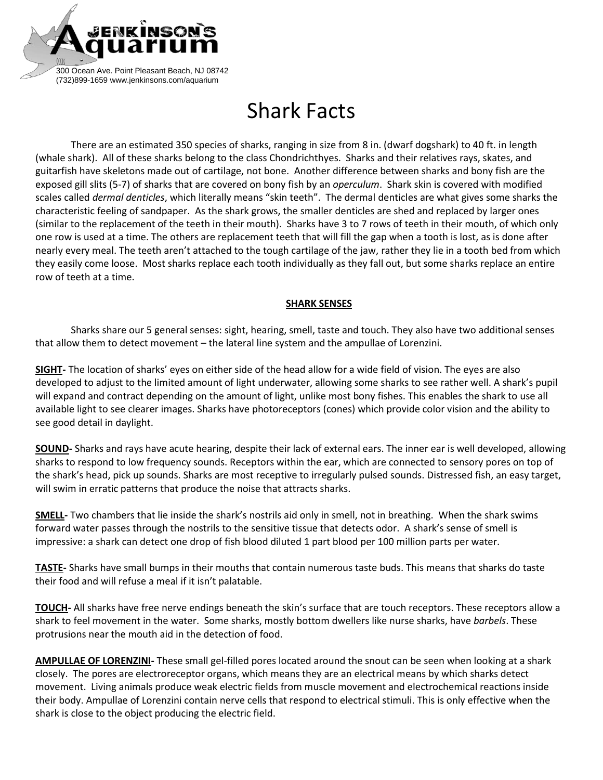

## Shark Facts

There are an estimated 350 species of sharks, ranging in size from 8 in. (dwarf dogshark) to 40 ft. in length (whale shark). All of these sharks belong to the class Chondrichthyes. Sharks and their relatives rays, skates, and guitarfish have skeletons made out of cartilage, not bone. Another difference between sharks and bony fish are the exposed gill slits (5-7) of sharks that are covered on bony fish by an *operculum*. Shark skin is covered with modified scales called *dermal denticles*, which literally means "skin teeth". The dermal denticles are what gives some sharks the characteristic feeling of sandpaper. As the shark grows, the smaller denticles are shed and replaced by larger ones (similar to the replacement of the teeth in their mouth). Sharks have 3 to 7 rows of teeth in their mouth, of which only one row is used at a time. The others are replacement teeth that will fill the gap when a tooth is lost, as is done after nearly every meal. The teeth aren't attached to the tough cartilage of the jaw, rather they lie in a tooth bed from which they easily come loose. Most sharks replace each tooth individually as they fall out, but some sharks replace an entire row of teeth at a time.

## **SHARK SENSES**

Sharks share our 5 general senses: sight, hearing, smell, taste and touch. They also have two additional senses that allow them to detect movement – the lateral line system and the ampullae of Lorenzini.

**SIGHT-** The location of sharks' eyes on either side of the head allow for a wide field of vision. The eyes are also developed to adjust to the limited amount of light underwater, allowing some sharks to see rather well. A shark's pupil will expand and contract depending on the amount of light, unlike most bony fishes. This enables the shark to use all available light to see clearer images. Sharks have photoreceptors (cones) which provide color vision and the ability to see good detail in daylight.

**SOUND-** Sharks and rays have acute hearing, despite their lack of external ears. The inner ear is well developed, allowing sharks to respond to low frequency sounds. Receptors within the ear, which are connected to sensory pores on top of the shark's head, pick up sounds. Sharks are most receptive to irregularly pulsed sounds. Distressed fish, an easy target, will swim in erratic patterns that produce the noise that attracts sharks.

**SMELL-** Two chambers that lie inside the shark's nostrils aid only in smell, not in breathing. When the shark swims forward water passes through the nostrils to the sensitive tissue that detects odor. A shark's sense of smell is impressive: a shark can detect one drop of fish blood diluted 1 part blood per 100 million parts per water.

**TASTE-** Sharks have small bumps in their mouths that contain numerous taste buds. This means that sharks do taste their food and will refuse a meal if it isn't palatable.

**TOUCH-** All sharks have free nerve endings beneath the skin's surface that are touch receptors. These receptors allow a shark to feel movement in the water. Some sharks, mostly bottom dwellers like nurse sharks, have *barbels*. These protrusions near the mouth aid in the detection of food.

**AMPULLAE OF LORENZINI-** These small gel-filled pores located around the snout can be seen when looking at a shark closely. The pores are electroreceptor organs, which means they are an electrical means by which sharks detect movement. Living animals produce weak electric fields from muscle movement and electrochemical reactions inside their body. Ampullae of Lorenzini contain nerve cells that respond to electrical stimuli. This is only effective when the shark is close to the object producing the electric field.